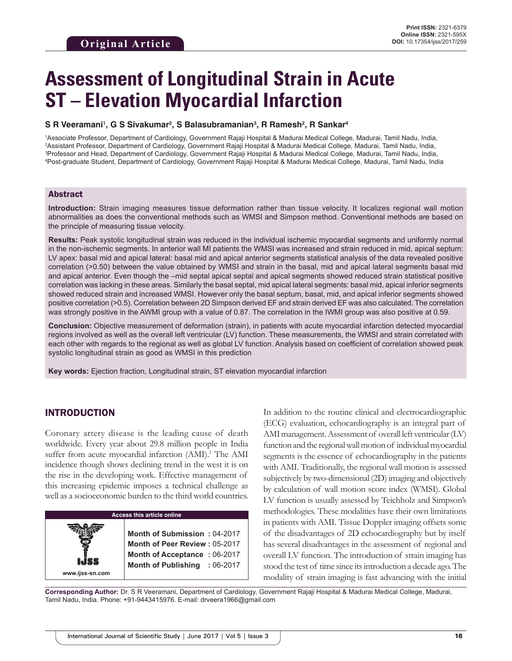# **Assessment of Longitudinal Strain in Acute ST – Elevation Myocardial Infarction**

#### **S R Veeramani1 , G S Sivakumar2 , S Balasubramanian3 , R Ramesh2 , R Sankar4**

 Associate Professor, Department of Cardiology, Government Rajaji Hospital & Madurai Medical College, Madurai, Tamil Nadu, India, Assistant Professor, Department of Cardiology, Government Rajaji Hospital & Madurai Medical College, Madurai, Tamil Nadu, India, Professor and Head, Department of Cardiology, Government Rajaji Hospital & Madurai Medical College, Madurai, Tamil Nadu, India, Post-graduate Student, Department of Cardiology, Government Rajaji Hospital & Madurai Medical College, Madurai, Tamil Nadu, India

#### Abstract

**Introduction:** Strain imaging measures tissue deformation rather than tissue velocity. It localizes regional wall motion abnormalities as does the conventional methods such as WMSI and Simpson method. Conventional methods are based on the principle of measuring tissue velocity.

**Results:** Peak systolic longitudinal strain was reduced in the individual ischemic myocardial segments and uniformly normal in the non-ischemic segments. In anterior wall MI patients the WMSI was increased and strain reduced in mid, apical septum: LV apex: basal mid and apical lateral: basal mid and apical anterior segments statistical analysis of the data revealed positive correlation (>0.50) between the value obtained by WMSI and strain in the basal, mid and apical lateral segments basal mid and apical anterior. Even though the –mid septal apical septal and apical segments showed reduced strain statistical positive correlation was lacking in these areas. Similarly the basal septal, mid apical lateral segments: basal mid, apical inferior segments showed reduced strain and increased WMSI. However only the basal septum, basal, mid, and apical inferior segments showed positive correlation (>0.5). Correlation between 2D Simpson derived EF and strain derived EF was also calculated. The correlation was strongly positive in the AWMI group with a value of 0.87. The correlation in the IWMI group was also positive at 0.59.

**Conclusion:** Objective measurement of deformation (strain), in patients with acute myocardial infarction detected myocardial regions involved as well as the overall left ventricular (LV) function. These measurements, the WMSI and strain correlated with each other with regards to the regional as well as global LV function. Analysis based on coefficient of correlation showed peak systolic longitudinal strain as good as WMSI in this prediction

**Key words:** Ejection fraction, Longitudinal strain, ST elevation myocardial infarction

## INTRODUCTION

**www.ijss-sn.com**

Coronary artery disease is the leading cause of death worldwide. Every year about 29.8 million people in India suffer from acute myocardial infarction (AMI).<sup>1</sup> The AMI incidence though shows declining trend in the west it is on the rise in the developing work. Effective management of this increasing epidemic imposes a technical challenge as well as a socioeconomic burden to the third world countries.

**Access this article online**

**Month of Submission :** 04-2017 **Month of Peer Review :** 05-2017 **Month of Acceptance :** 06-2017 **Month of Publishing :** 06-2017 In addition to the routine clinical and electrocardiographic (ECG) evaluation, echocardiography is an integral part of AMI management. Assessment of overall left ventricular (LV) function and the regional wall motion of individual myocardial segments is the essence of echocardiography in the patients with AMI. Traditionally, the regional wall motion is assessed subjectively by two-dimensional (2D) imaging and objectively by calculation of wall motion score index (WMSI). Global LV function is usually assessed by Teichholz and Simpson's methodologies. These modalities have their own limitations in patients with AMI. Tissue Doppler imaging offsets some of the disadvantages of 2D echocardiography but by itself has several disadvantages in the assessment of regional and overall LV function. The introduction of strain imaging has stood the test of time since its introduction a decade ago. The modality of strain imaging is fast advancing with the initial

**Corresponding Author:** Dr. S R Veeramani, Department of Cardiology, Government Rajaji Hospital & Madurai Medical College, Madurai, Tamil Nadu, India. Phone: +91-9443415976. E-mail: drveera1966@gmail.com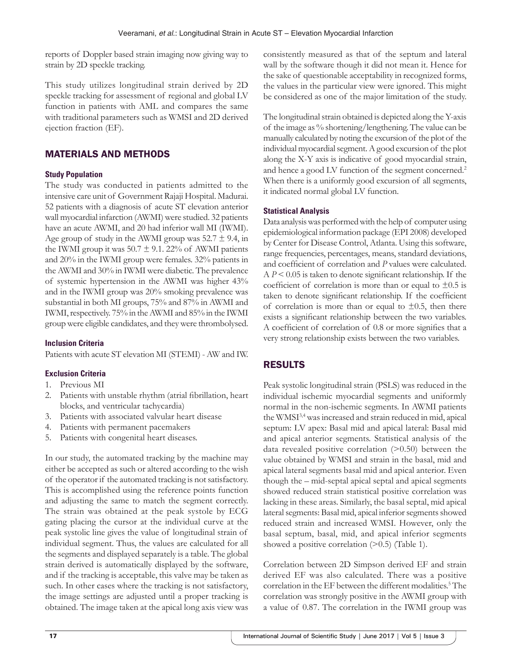reports of Doppler based strain imaging now giving way to strain by 2D speckle tracking.

This study utilizes longitudinal strain derived by 2D speckle tracking for assessment of regional and global LV function in patients with AML and compares the same with traditional parameters such as WMSI and 2D derived ejection fraction (EF).

# MATERIALS AND METHODS

## **Study Population**

The study was conducted in patients admitted to the intensive care unit of Government Rajaji Hospital. Madurai. 52 patients with a diagnosis of acute ST elevation anterior wall myocardial infarction (AWMI) were studied. 32 patients have an acute AWMI, and 20 had inferior wall MI (IWMI). Age group of study in the AWMI group was  $52.7 \pm 9.4$ , in the IWMI group it was  $50.7 \pm 9.1$ . 22% of AWMI patients and 20% in the IWMI group were females. 32% patients in the AWMI and 30% in IWMI were diabetic. The prevalence of systemic hypertension in the AWMI was higher 43% and in the IWMI group was 20% smoking prevalence was substantial in both MI groups, 75% and 87% in AWMI and IWMI, respectively. 75% in the AWMI and 85% in the IWMI group were eligible candidates, and they were thrombolysed.

## **Inclusion Criteria**

Patients with acute ST elevation MI (STEMI) - AW and IW.

## **Exclusion Criteria**

- 1. Previous MI
- 2. Patients with unstable rhythm (atrial fibrillation, heart blocks, and ventricular tachycardia)
- 3. Patients with associated valvular heart disease
- 4. Patients with permanent pacemakers
- 5. Patients with congenital heart diseases.

In our study, the automated tracking by the machine may either be accepted as such or altered according to the wish of the operator if the automated tracking is not satisfactory. This is accomplished using the reference points function and adjusting the same to match the segment correctly. The strain was obtained at the peak systole by ECG gating placing the cursor at the individual curve at the peak systolic line gives the value of longitudinal strain of individual segment. Thus, the values are calculated for all the segments and displayed separately is a table. The global strain derived is automatically displayed by the software, and if the tracking is acceptable, this valve may be taken as such. In other cases where the tracking is not satisfactory, the image settings are adjusted until a proper tracking is obtained. The image taken at the apical long axis view was consistently measured as that of the septum and lateral wall by the software though it did not mean it. Hence for the sake of questionable acceptability in recognized forms, the values in the particular view were ignored. This might be considered as one of the major limitation of the study.

The longitudinal strain obtained is depicted along the Y-axis of the image as % shortening/lengthening. The value can be manually calculated by noting the excursion of the plot of the individual myocardial segment. A good excursion of the plot along the X-Y axis is indicative of good myocardial strain, and hence a good LV function of the segment concerned.<sup>2</sup> When there is a uniformly good excursion of all segments, it indicated normal global LV function.

#### **Statistical Analysis**

Data analysis was performed with the help of computer using epidemiological information package (EPI 2008) developed by Center for Disease Control, Atlanta. Using this software, range frequencies, percentages, means, standard deviations, and coefficient of correlation and *P* values were calculated.  $AP < 0.05$  is taken to denote significant relationship. If the coefficient of correlation is more than or equal to  $\pm 0.5$  is taken to denote significant relationship. If the coefficient of correlation is more than or equal to  $\pm 0.5$ , then there exists a significant relationship between the two variables. A coefficient of correlation of 0.8 or more signifies that a very strong relationship exists between the two variables.

# RESULTS

Peak systolic longitudinal strain (PSLS) was reduced in the individual ischemic myocardial segments and uniformly normal in the non-ischemic segments. In AWMI patients the WMSI<sup>3,4</sup> was increased and strain reduced in mid, apical septum: LV apex: Basal mid and apical lateral: Basal mid and apical anterior segments. Statistical analysis of the data revealed positive correlation  $(>0.50)$  between the value obtained by WMSI and strain in the basal, mid and apical lateral segments basal mid and apical anterior. Even though the – mid-septal apical septal and apical segments showed reduced strain statistical positive correlation was lacking in these areas. Similarly, the basal septal, mid apical lateral segments: Basal mid, apical inferior segments showed reduced strain and increased WMSI. However, only the basal septum, basal, mid, and apical inferior segments showed a positive correlation  $(>0.5)$  (Table 1).

Correlation between 2D Simpson derived EF and strain derived EF was also calculated. There was a positive correlation in the EF between the different modalities.<sup>5</sup> The correlation was strongly positive in the AWMI group with a value of 0.87. The correlation in the IWMI group was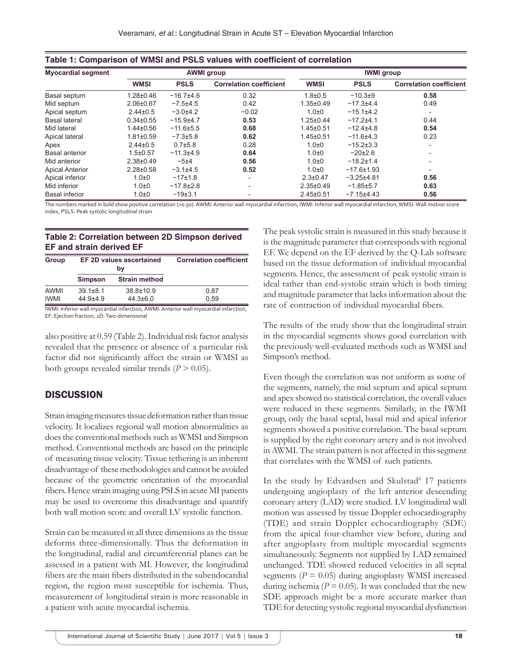| <b>Myocardial segment</b> | <b>AWMI</b> group |                |                                | <b>IWMI</b> group |                  |                                |
|---------------------------|-------------------|----------------|--------------------------------|-------------------|------------------|--------------------------------|
|                           | <b>WMSI</b>       | <b>PSLS</b>    | <b>Correlation coefficient</b> | <b>WMSI</b>       | <b>PSLS</b>      | <b>Correlation coefficient</b> |
| Basal septum              | $1.28 \pm 0.46$   | $-16.7+4.6$    | 0.32                           | $1.8 + 0.5$       | $-10.3+9$        | 0.58                           |
| Mid septum                | $2.06 \pm 0.67$   | $-7.5+4.5$     | 0.42                           | $1.35 \pm 0.49$   | $-17.3 + 4.4$    | 0.49                           |
| Apical septum             | $2.44\pm0.5$      | $-3.0+4.2$     | $-0.02$                        | $1.0\pm0$         | $-15.1\pm4.2$    |                                |
| <b>Basal lateral</b>      | $0.34 \pm 0.55$   | $-15.9+4.7$    | 0.53                           | $1.25 \pm 0.44$   | $-17.2+4.1$      | 0.44                           |
| Mid lateral               | $1.44 \pm 0.56$   | $-11.6 + 5.5$  | 0.68                           | $1.45 \pm 0.51$   | $-12.4+4.8$      | 0.54                           |
| Apical lateral            | $1.81 \pm 0.59$   | $-7.3 \pm 5.8$ | 0.62                           | $1.45 \pm 0.51$   | $-11.6+4.3$      | 0.23                           |
| Apex                      | $2.44\pm0.5$      | $0.7{\pm}5.8$  | 0.28                           | $1.0\pm0$         | $-15.2 \pm 3.3$  | $\overline{a}$                 |
| <b>Basal anterior</b>     | $1.5 \pm 0.57$    | $-11.3 + 4.9$  | 0.64                           | $1.0\pm0$         | $-20\pm2.6$      | $\overline{\phantom{0}}$       |
| Mid anterior              | $2.38 \pm 0.49$   | $-5+4$         | 0.56                           | $1.0\pm0$         | $-18.2 \pm 1.4$  | $\overline{\phantom{a}}$       |
| <b>Apical Anterior</b>    | $2.28 \pm 0.58$   | $-3.1\pm4.5$   | 0.52                           | $1.0\pm0$         | $-17.6 \pm 1.93$ | ۰                              |
| Apical inferior           | $1.0 + 0$         | $-17\pm1.8$    | $\overline{\phantom{0}}$       | $2.3 \pm 0.47$    | $-3.25 + 4.81$   | 0.56                           |
| Mid inferior              | $1.0 + 0$         | $-17.8+2.8$    | $\overline{\phantom{0}}$       | $2.35 \pm 0.49$   | $-1.85 \pm 5.7$  | 0.63                           |
| <b>Basal inferior</b>     | $1.0\pm0$         | $-19±3.1$      |                                | $2.45 \pm 0.51$   | $-7.15+4.43$     | 0.56                           |

The numbers marked in bold show positive correlation (>0.50). AWMI: Anterior wall myocardial infarction, IWMI: Inferior wall myocardial infarction, WMSI: Wall motion score index, PSLS: Peak systolic longitudinal strain

#### **Table 2: Correlation between 2D Simpson derived EF and strain derived EF**

| <b>Group</b> |                | EF 2D values ascertained<br>bv | <b>Correlation coefficient</b> |
|--------------|----------------|--------------------------------|--------------------------------|
|              | <b>Simpson</b> | <b>Strain method</b>           |                                |
| AWMI         | $39.1 \pm 8.1$ | 38.8±10.9                      | 0.87                           |
| <b>IWMI</b>  | $44.9 + 4.9$   | $44.3 \pm 6.0$                 | 0.59                           |

IWMI: Inferior wall myocardial infarction, AWMI: Anterior wall myocardial infarction, EF: Ejection fraction, 2D: Two-dimensional

also positive at 0.59 (Table 2). Individual risk factor analysis revealed that the presence or absence of a particular risk factor did not significantly affect the strain or WMSI as both groups revealed similar trends  $(P > 0.05)$ .

## **DISCUSSION**

Strain imaging measures tissue deformation rather than tissue velocity. It localizes regional wall motion abnormalities as does the conventional methods such as WMSI and Simpson method. Conventional methods are based on the principle of measuring tissue velocity. Tissue tethering is an inherent disadvantage of these methodologies and cannot be avoided because of the geometric orientation of the myocardial fibers. Hence strain imaging using PSLS in acute MI patients may be used to overcome this disadvantage and quantify both wall motion score and overall LV systolic function.

Strain can be measured in all three dimensions as the tissue deforms three-dimensionally. Thus the deformation in the longitudinal, radial and circumferential planes can be assessed in a patient with MI. However, the longitudinal fibers are the main fibers distributed in the subendocardial region, the region most susceptible for ischemia. Thus, measurement of longitudinal strain is more reasonable in a patient with acute myocardial ischemia.

The peak systolic strain is measured in this study because it is the magnitude parameter that corresponds with regional EF. We depend on the EF derived by the Q-Lab software based on the tissue deformation of individual myocardial segments. Hence, the assessment of peak systolic strain is ideal rather than end-systolic strain which is both timing and magnitude parameter that lacks information about the rate of contraction of individual myocardial fibers.

The results of the study show that the longitudinal strain in the myocardial segments shows good correlation with the previously well-evaluated methods such as WMSI and Simpson's method.

Even though the correlation was not uniform as some of the segments, namely, the mid septum and apical septum and apex showed no statistical correlation, the overall values were reduced in these segments. Similarly, in the IWMI group, only the basal septal, basal mid and apical inferior segments showed a positive correlation. The basal septum is supplied by the right coronary artery and is not involved in AWMI. The strain pattern is not affected in this segment that correlates with the WMSI of such patients.

In the study by Edvardsen and Skulstad<sup>6</sup> 17 patients undergoing angioplasty of the left anterior descending coronary artery (LAD) were studied. LV longitudinal wall motion was assessed by tissue Doppler echocardiography (TDE) and strain Doppler echocardiography (SDE) from the apical four-chamber view before, during and after angioplasty from multiple myocardial segments simultaneously. Segments not supplied by LAD remained unchanged. TDE showed reduced velocities in all septal segments  $(P = 0.05)$  during angioplasty WMSI increased during ischemia ( $P = 0.05$ ). It was concluded that the new SDE approach might be a more accurate marker than TDE for detecting systolic regional myocardial dysfunction